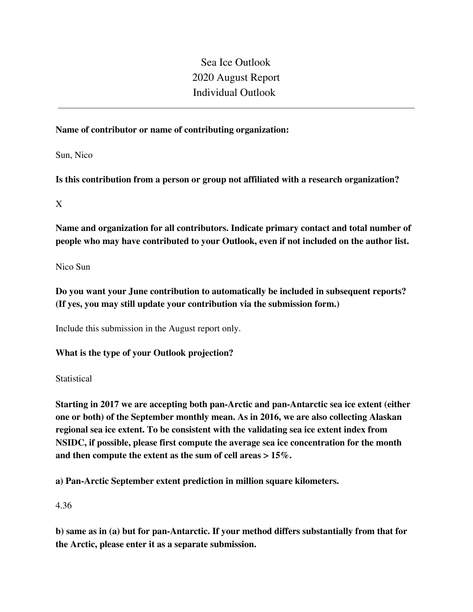# Sea Ice Outlook 2020 August Report Individual Outlook

#### **Name of contributor or name of contributing organization:**

Sun, Nico

**Is this contribution from a person or group not affiliated with a research organization?** 

X

**Name and organization for all contributors. Indicate primary contact and total number of people who may have contributed to your Outlook, even if not included on the author list.**

Nico Sun

**Do you want your June contribution to automatically be included in subsequent reports? (If yes, you may still update your contribution via the submission form.)**

Include this submission in the August report only.

**What is the type of your Outlook projection?** 

**Statistical** 

**Starting in 2017 we are accepting both pan-Arctic and pan-Antarctic sea ice extent (either one or both) of the September monthly mean. As in 2016, we are also collecting Alaskan regional sea ice extent. To be consistent with the validating sea ice extent index from NSIDC, if possible, please first compute the average sea ice concentration for the month and then compute the extent as the sum of cell areas > 15%.**

**a) Pan-Arctic September extent prediction in million square kilometers.**

4.36

**b) same as in (a) but for pan-Antarctic. If your method differs substantially from that for the Arctic, please enter it as a separate submission.**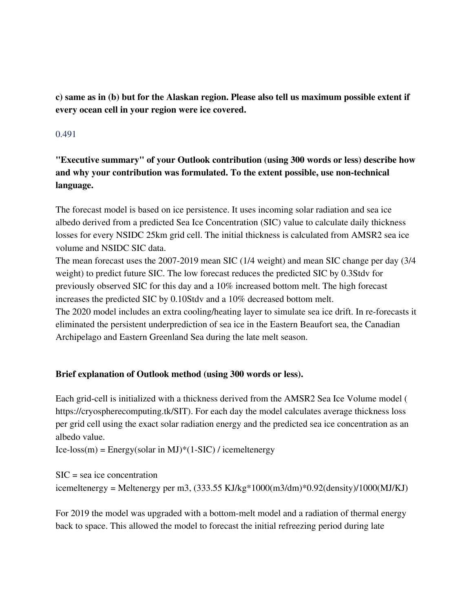**c) same as in (b) but for the Alaskan region. Please also tell us maximum possible extent if every ocean cell in your region were ice covered.**

#### 0.491

**"Executive summary" of your Outlook contribution (using 300 words or less) describe how and why your contribution was formulated. To the extent possible, use non-technical language.**

The forecast model is based on ice persistence. It uses incoming solar radiation and sea ice albedo derived from a predicted Sea Ice Concentration (SIC) value to calculate daily thickness losses for every NSIDC 25km grid cell. The initial thickness is calculated from AMSR2 sea ice volume and NSIDC SIC data.

The mean forecast uses the 2007-2019 mean SIC (1/4 weight) and mean SIC change per day (3/4 weight) to predict future SIC. The low forecast reduces the predicted SIC by 0.3Stdv for previously observed SIC for this day and a 10% increased bottom melt. The high forecast increases the predicted SIC by 0.10Stdv and a 10% decreased bottom melt. The 2020 model includes an extra cooling/heating layer to simulate sea ice drift. In re-forecasts it eliminated the persistent underprediction of sea ice in the Eastern Beaufort sea, the Canadian Archipelago and Eastern Greenland Sea during the late melt season.

#### **Brief explanation of Outlook method (using 300 words or less).**

Each grid-cell is initialized with a thickness derived from the AMSR2 Sea Ice Volume model ( https://cryospherecomputing.tk/SIT). For each day the model calculates average thickness loss per grid cell using the exact solar radiation energy and the predicted sea ice concentration as an albedo value.

Ice-loss(m) = Energy(solar in MJ)\*(1-SIC) / icemeltenergy

SIC = sea ice concentration icemeltenergy = Meltenergy per m3, (333.55 KJ/kg\*1000(m3/dm)\*0.92(density)/1000(MJ/KJ)

For 2019 the model was upgraded with a bottom-melt model and a radiation of thermal energy back to space. This allowed the model to forecast the initial refreezing period during late